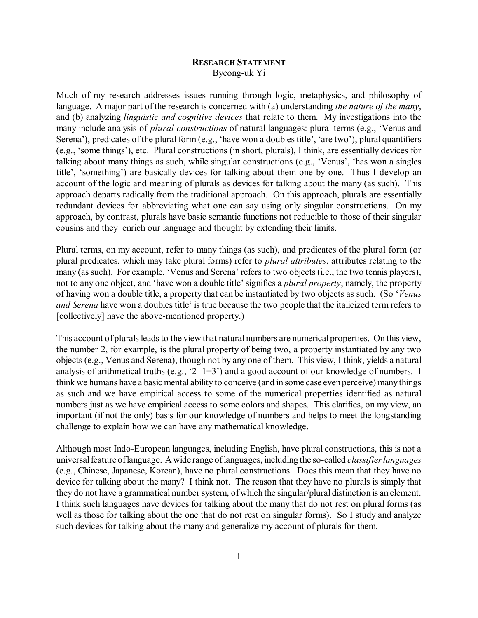## **RESEARCH STATEMENT** Byeong-uk Yi

Much of my research addresses issues running through logic, metaphysics, and philosophy of language. A major part of the research is concerned with (a) understanding *the nature of the many*, and (b) analyzing *linguistic and cognitive devices* that relate to them. My investigations into the many include analysis of *plural constructions* of natural languages: plural terms (e.g., 'Venus and Serena'), predicates of the plural form (e.g., 'have won a doubles title', 'are two'), plural quantifiers (e.g., 'some things'), etc. Plural constructions (in short, plurals), I think, are essentially devices for talking about many things as such, while singular constructions (e.g., 'Venus', 'has won a singles title', 'something') are basically devices for talking about them one by one. Thus I develop an account of the logic and meaning of plurals as devices for talking about the many (as such). This approach departs radically from the traditional approach. On this approach, plurals are essentially redundant devices for abbreviating what one can say using only singular constructions. On my approach, by contrast, plurals have basic semantic functions not reducible to those of their singular cousins and they enrich our language and thought by extending their limits.

Plural terms, on my account, refer to many things (as such), and predicates of the plural form (or plural predicates, which may take plural forms) refer to *plural attributes*, attributes relating to the many (as such). For example, 'Venus and Serena' refers to two objects (i.e., the two tennis players), not to any one object, and 'have won a double title' signifies a *plural property*, namely, the property of having won a double title, a property that can be instantiated by two objects as such. (So '*Venus and Serena* have won a doubles title' is true because the two people that the italicized term refers to [collectively] have the above-mentioned property.)

This account of plurals leads to the view that natural numbers are numerical properties. On this view, the number 2, for example, is the plural property of being two, a property instantiated by any two objects (e.g., Venus and Serena), though not by any one of them. This view, I think, yields a natural analysis of arithmetical truths (e.g.,  $2+1=3$ ) and a good account of our knowledge of numbers. I think we humans have a basic mental ability to conceive (and in some case even perceive) many things as such and we have empirical access to some of the numerical properties identified as natural numbers just as we have empirical access to some colors and shapes. This clarifies, on my view, an important (if not the only) basis for our knowledge of numbers and helps to meet the longstanding challenge to explain how we can have any mathematical knowledge.

Although most Indo-European languages, including English, have plural constructions, this is not a universal feature of language. A wide range of languages, including the so-called *classifier languages* (e.g., Chinese, Japanese, Korean), have no plural constructions. Does this mean that they have no device for talking about the many? I think not. The reason that they have no plurals is simply that they do not have a grammatical number system, of which the singular/plural distinction is an element. I think such languages have devices for talking about the many that do not rest on plural forms (as well as those for talking about the one that do not rest on singular forms). So I study and analyze such devices for talking about the many and generalize my account of plurals for them.